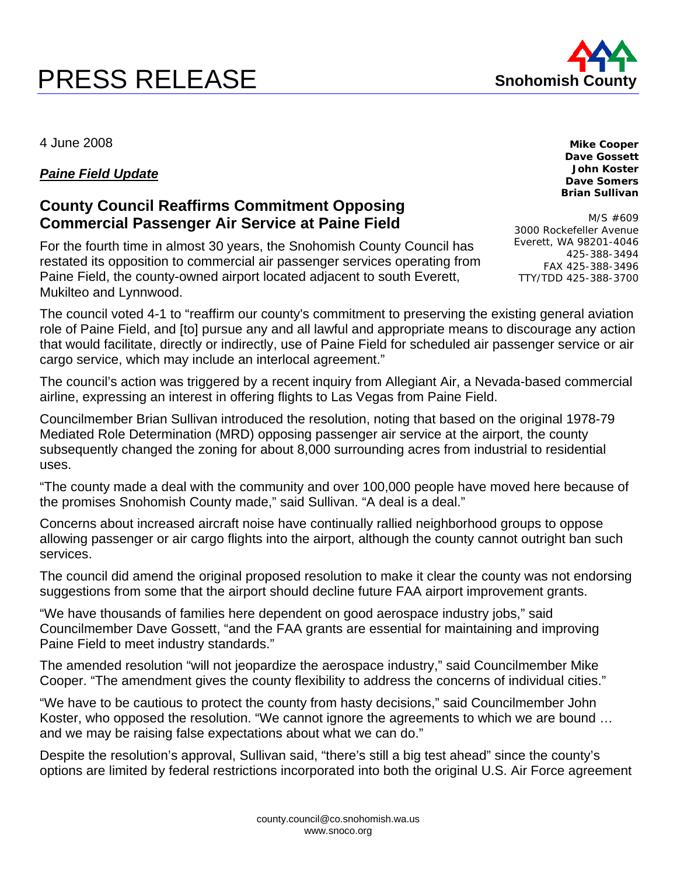## PRESS RELEASE



**Mike Cooper Dave Gossett John Koster Dave Somers Brian Sullivan** 

4 June 2008

## *Paine Field Update*

## **County Council Reaffirms Commitment Opposing Commercial Passenger Air Service at Paine Field**

For the fourth time in almost 30 years, the Snohomish County Council has restated its opposition to commercial air passenger services operating from Paine Field, the county-owned airport located adjacent to south Everett, Mukilteo and Lynnwood.

M/S #609 3000 Rockefeller Avenue Everett, WA 98201-4046 425-388-3494 FAX 425-388-3496 TTY/TDD 425-388-3700

The council voted 4-1 to "reaffirm our county's commitment to preserving the existing general aviation role of Paine Field, and [to] pursue any and all lawful and appropriate means to discourage any action that would facilitate, directly or indirectly, use of Paine Field for scheduled air passenger service or air cargo service, which may include an interlocal agreement."

The council's action was triggered by a recent inquiry from Allegiant Air, a Nevada-based commercial airline, expressing an interest in offering flights to Las Vegas from Paine Field.

Councilmember Brian Sullivan introduced the resolution, noting that based on the original 1978-79 Mediated Role Determination (MRD) opposing passenger air service at the airport, the county subsequently changed the zoning for about 8,000 surrounding acres from industrial to residential uses.

"The county made a deal with the community and over 100,000 people have moved here because of the promises Snohomish County made," said Sullivan. "A deal is a deal."

Concerns about increased aircraft noise have continually rallied neighborhood groups to oppose allowing passenger or air cargo flights into the airport, although the county cannot outright ban such services.

The council did amend the original proposed resolution to make it clear the county was not endorsing suggestions from some that the airport should decline future FAA airport improvement grants.

"We have thousands of families here dependent on good aerospace industry jobs," said Councilmember Dave Gossett, "and the FAA grants are essential for maintaining and improving Paine Field to meet industry standards."

The amended resolution "will not jeopardize the aerospace industry," said Councilmember Mike Cooper. "The amendment gives the county flexibility to address the concerns of individual cities."

"We have to be cautious to protect the county from hasty decisions," said Councilmember John Koster, who opposed the resolution. "We cannot ignore the agreements to which we are bound … and we may be raising false expectations about what we can do."

Despite the resolution's approval, Sullivan said, "there's still a big test ahead" since the county's options are limited by federal restrictions incorporated into both the original U.S. Air Force agreement